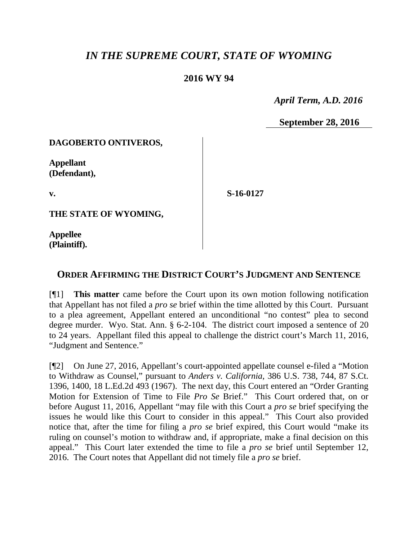# *IN THE SUPREME COURT, STATE OF WYOMING*

## **2016 WY 94**

 *April Term, A.D. 2016*

**September 28, 2016**

#### **DAGOBERTO ONTIVEROS,**

**Appellant (Defendant),**

**v.**

**S-16-0127**

**THE STATE OF WYOMING,**

**Appellee (Plaintiff).**

# **ORDER AFFIRMING THE DISTRICT COURT'S JUDGMENT AND SENTENCE**

[¶1] **This matter** came before the Court upon its own motion following notification that Appellant has not filed a *pro se* brief within the time allotted by this Court. Pursuant to a plea agreement, Appellant entered an unconditional "no contest" plea to second degree murder. Wyo. Stat. Ann. § 6-2-104. The district court imposed a sentence of 20 to 24 years. Appellant filed this appeal to challenge the district court's March 11, 2016, "Judgment and Sentence."

[¶2] On June 27, 2016, Appellant's court-appointed appellate counsel e-filed a "Motion to Withdraw as Counsel," pursuant to *Anders v. California*, 386 U.S. 738, 744, 87 S.Ct. 1396, 1400, 18 L.Ed.2d 493 (1967). The next day, this Court entered an "Order Granting Motion for Extension of Time to File *Pro Se* Brief." This Court ordered that, on or before August 11, 2016, Appellant "may file with this Court a *pro se* brief specifying the issues he would like this Court to consider in this appeal." This Court also provided notice that, after the time for filing a *pro se* brief expired, this Court would "make its ruling on counsel's motion to withdraw and, if appropriate, make a final decision on this appeal." This Court later extended the time to file a *pro se* brief until September 12, 2016. The Court notes that Appellant did not timely file a *pro se* brief.